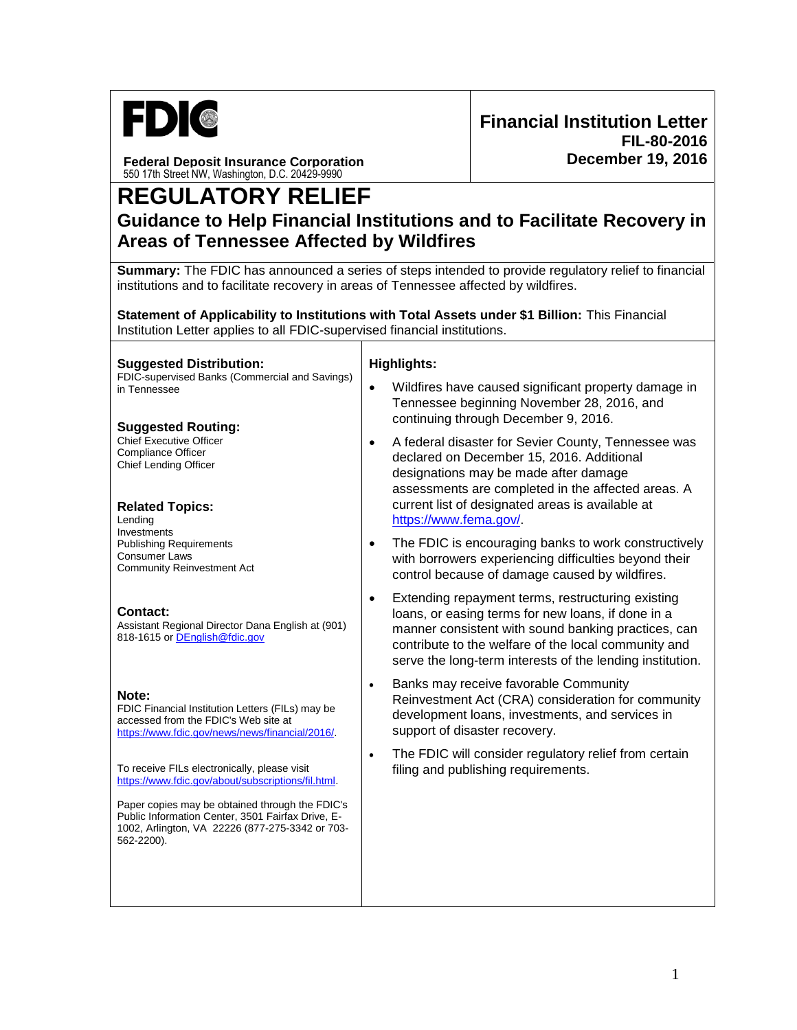

**Federal Deposit Insurance Corporation** 550 17th Street NW, Washington, D.C. 20429-9990

# **REGULATORY RELIEF Guidance to Help Financial Institutions and to Facilitate Recovery in Areas of Tennessee Affected by Wildfires**

**Summary:** The FDIC has announced a series of steps intended to provide regulatory relief to financial institutions and to facilitate recovery in areas of Tennessee affected by wildfires.

**Statement of Applicability to Institutions with Total Assets under \$1 Billion:** This Financial Institution Letter applies to all FDIC-supervised financial institutions.

**Suggested Distribution:** FDIC-supervised Banks (Commercial and Savings) in Tennessee

# **Suggested Routing:**

Chief Executive Officer Compliance Officer Chief Lending Officer

# **Related Topics:**

Lending Investments Publishing Requirements Consumer Laws Community Reinvestment Act

#### **Contact:**

Assistant Regional Director Dana English at (901) 818-1615 o[r DEnglish@fdic.gov](mailto:DEnglish@fdic.gov)

#### **Note:**

FDIC Financial Institution Letters (FILs) may be accessed from the FDIC's Web site at [https://www.fdic.gov/news/news/financial/2016/.](https://www.fdic.gov/news/news/financial/2016/)

To receive FILs electronically, please visit [https://www.fdic.gov/about/subscriptions/fil.html.](https://www.fdic.gov/about/subscriptions/fil.html) 

Paper copies may be obtained through the FDIC's Public Information Center, 3501 Fairfax Drive, E-1002, Arlington, VA 22226 (877-275-3342 or 703- 562-2200).

# **Highlights:**

- Wildfires have caused significant property damage in Tennessee beginning November 28, 2016, and continuing through December 9, 2016.
- A federal disaster for Sevier County, Tennessee was declared on December 15, 2016. Additional designations may be made after damage assessments are completed in the affected areas. A current list of designated areas is available at [https://www.fema.gov/.](https://www.fema.gov/)
- The FDIC is encouraging banks to work constructively with borrowers experiencing difficulties beyond their control because of damage caused by wildfires.
- Extending repayment terms, restructuring existing loans, or easing terms for new loans, if done in a manner consistent with sound banking practices, can contribute to the welfare of the local community and serve the long-term interests of the lending institution.
- Banks may receive favorable Community Reinvestment Act (CRA) consideration for community development loans, investments, and services in support of disaster recovery.
- The FDIC will consider regulatory relief from certain filing and publishing requirements.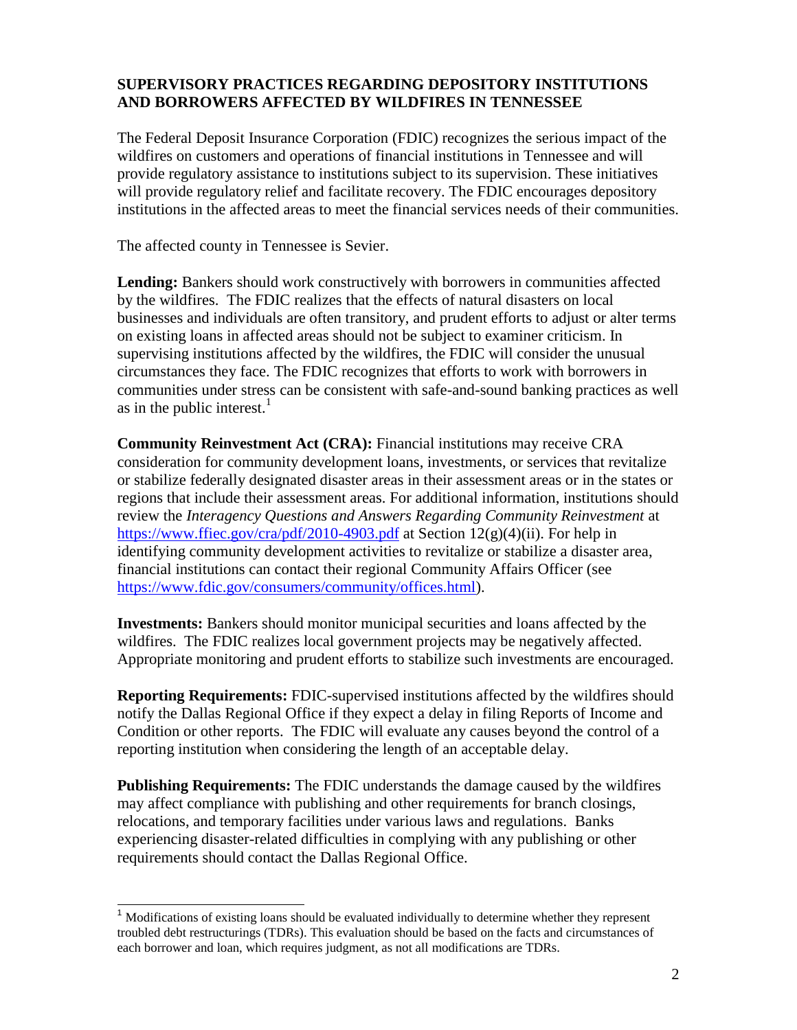# **SUPERVISORY PRACTICES REGARDING DEPOSITORY INSTITUTIONS AND BORROWERS AFFECTED BY WILDFIRES IN TENNESSEE**

The Federal Deposit Insurance Corporation (FDIC) recognizes the serious impact of the wildfires on customers and operations of financial institutions in Tennessee and will provide regulatory assistance to institutions subject to its supervision. These initiatives will provide regulatory relief and facilitate recovery. The FDIC encourages depository institutions in the affected areas to meet the financial services needs of their communities.

The affected county in Tennessee is Sevier.

j

**Lending:** Bankers should work constructively with borrowers in communities affected by the wildfires. The FDIC realizes that the effects of natural disasters on local businesses and individuals are often transitory, and prudent efforts to adjust or alter terms on existing loans in affected areas should not be subject to examiner criticism. In supervising institutions affected by the wildfires, the FDIC will consider the unusual circumstances they face. The FDIC recognizes that efforts to work with borrowers in communities under stress can be consistent with safe-and-sound banking practices as well as in the public interest. $<sup>1</sup>$ </sup>

**Community Reinvestment Act (CRA):** Financial institutions may receive CRA consideration for community development loans, investments, or services that revitalize or stabilize federally designated disaster areas in their assessment areas or in the states or regions that include their assessment areas. For additional information, institutions should review the *Interagency Questions and Answers Regarding Community Reinvestment* at <https://www.ffiec.gov/cra/pdf/2010-4903.pdf> at Section  $12(g)(4)(ii)$ . For help in identifying community development activities to revitalize or stabilize a disaster area, financial institutions can contact their regional Community Affairs Officer (see [https://www.fdic.gov/consumers/community/offices.html\)](https://www.fdic.gov/consumers/community/offices.html).

**Investments:** Bankers should monitor municipal securities and loans affected by the wildfires. The FDIC realizes local government projects may be negatively affected. Appropriate monitoring and prudent efforts to stabilize such investments are encouraged.

**Reporting Requirements:** FDIC-supervised institutions affected by the wildfires should notify the Dallas Regional Office if they expect a delay in filing Reports of Income and Condition or other reports. The FDIC will evaluate any causes beyond the control of a reporting institution when considering the length of an acceptable delay.

**Publishing Requirements:** The FDIC understands the damage caused by the wildfires may affect compliance with publishing and other requirements for branch closings, relocations, and temporary facilities under various laws and regulations. Banks experiencing disaster-related difficulties in complying with any publishing or other requirements should contact the Dallas Regional Office.

 $<sup>1</sup>$  Modifications of existing loans should be evaluated individually to determine whether they represent</sup> troubled debt restructurings (TDRs). This evaluation should be based on the facts and circumstances of each borrower and loan, which requires judgment, as not all modifications are TDRs.